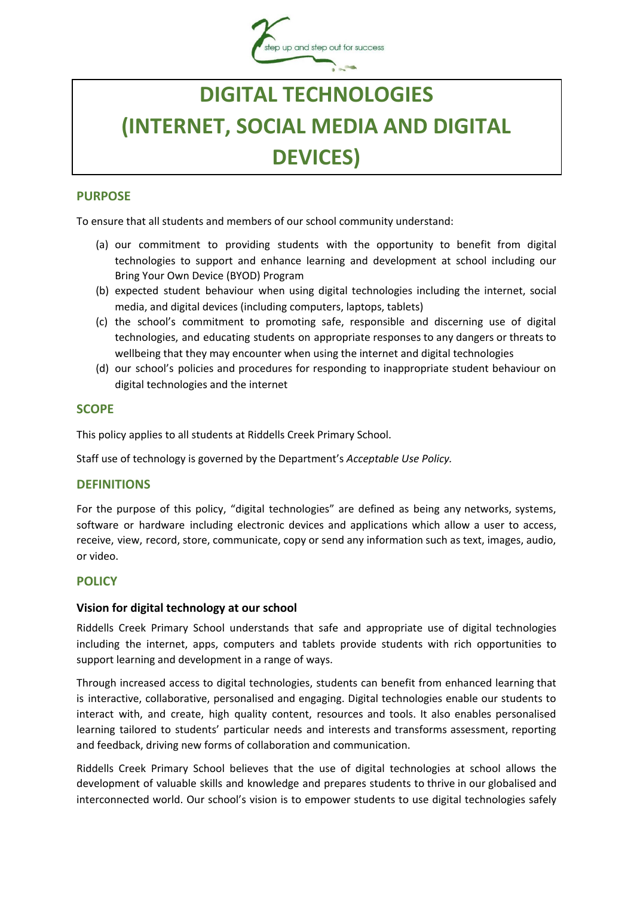

# **DIGITAL TECHNOLOGIES (INTERNET, SOCIAL MEDIA AND DIGITAL DEVICES)**

### **PURPOSE**

To ensure that all students and members of our school community understand:

- (a) our commitment to providing students with the opportunity to benefit from digital technologies to support and enhance learning and development at school including our Bring Your Own Device (BYOD) Program
- (b) expected student behaviour when using digital technologies including the internet, social media, and digital devices (including computers, laptops, tablets)
- (c) the school's commitment to promoting safe, responsible and discerning use of digital technologies, and educating students on appropriate responses to any dangers or threats to wellbeing that they may encounter when using the internet and digital technologies
- (d) our school's policies and procedures for responding to inappropriate student behaviour on digital technologies and the internet

## **SCOPE**

This policy applies to all students at Riddells Creek Primary School.

Staff use of technology is governed by the Department's *Acceptable Use Policy.*

#### **DEFINITIONS**

For the purpose of this policy, "digital technologies" are defined as being any networks, systems, software or hardware including electronic devices and applications which allow a user to access, receive, view, record, store, communicate, copy or send any information such as text, images, audio, or video.

#### **POLICY**

#### **Vision for digital technology at our school**

Riddells Creek Primary School understands that safe and appropriate use of digital technologies including the internet, apps, computers and tablets provide students with rich opportunities to support learning and development in a range of ways.

Through increased access to digital technologies, students can benefit from enhanced learning that is interactive, collaborative, personalised and engaging. Digital technologies enable our students to interact with, and create, high quality content, resources and tools. It also enables personalised learning tailored to students' particular needs and interests and transforms assessment, reporting and feedback, driving new forms of collaboration and communication.

Riddells Creek Primary School believes that the use of digital technologies at school allows the development of valuable skills and knowledge and prepares students to thrive in our globalised and interconnected world. Our school's vision is to empower students to use digital technologies safely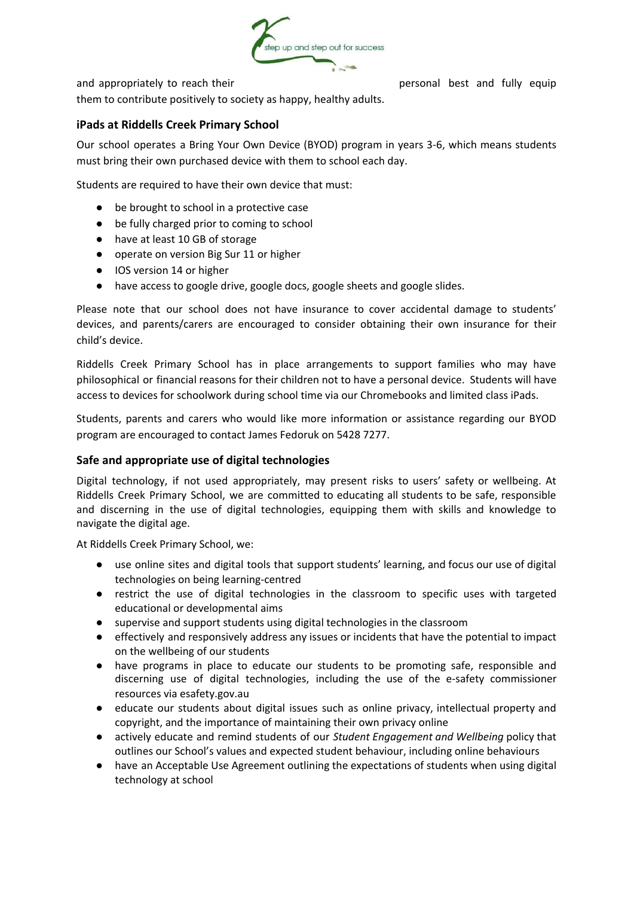

and appropriately to reach their personal best and fully equip

them to contribute positively to society as happy, healthy adults.

### **iPads at Riddells Creek Primary School**

Our school operates a Bring Your Own Device (BYOD) program in years 3-6, which means students must bring their own purchased device with them to school each day.

Students are required to have their own device that must:

- be brought to school in a protective case
- be fully charged prior to coming to school
- have at least 10 GB of storage
- operate on version Big Sur 11 or higher
- IOS version 14 or higher
- have access to google drive, google docs, google sheets and google slides.

Please note that our school does not have insurance to cover accidental damage to students' devices, and parents/carers are encouraged to consider obtaining their own insurance for their child's device.

Riddells Creek Primary School has in place arrangements to support families who may have philosophical or financial reasons for their children not to have a personal device. Students will have access to devices for schoolwork during school time via our Chromebooks and limited class iPads.

Students, parents and carers who would like more information or assistance regarding our BYOD program are encouraged to contact James Fedoruk on 5428 7277.

#### **Safe and appropriate use of digital technologies**

Digital technology, if not used appropriately, may present risks to users' safety or wellbeing. At Riddells Creek Primary School, we are committed to educating all students to be safe, responsible and discerning in the use of digital technologies, equipping them with skills and knowledge to navigate the digital age.

At Riddells Creek Primary School, we:

- use online sites and digital tools that support students' learning, and focus our use of digital technologies on being learning-centred
- restrict the use of digital technologies in the classroom to specific uses with targeted educational or developmental aims
- supervise and support students using digital technologies in the classroom
- effectively and responsively address any issues or incidents that have the potential to impact on the wellbeing of our students
- have programs in place to educate our students to be promoting safe, responsible and discerning use of digital technologies, including the use of the e-safety commissioner resources via esafety.gov.au
- educate our students about digital issues such as online privacy, intellectual property and copyright, and the importance of maintaining their own privacy online
- actively educate and remind students of our *Student Engagement and Wellbeing* policy that outlines our School's values and expected student behaviour, including online behaviours
- have an Acceptable Use Agreement outlining the expectations of students when using digital technology at school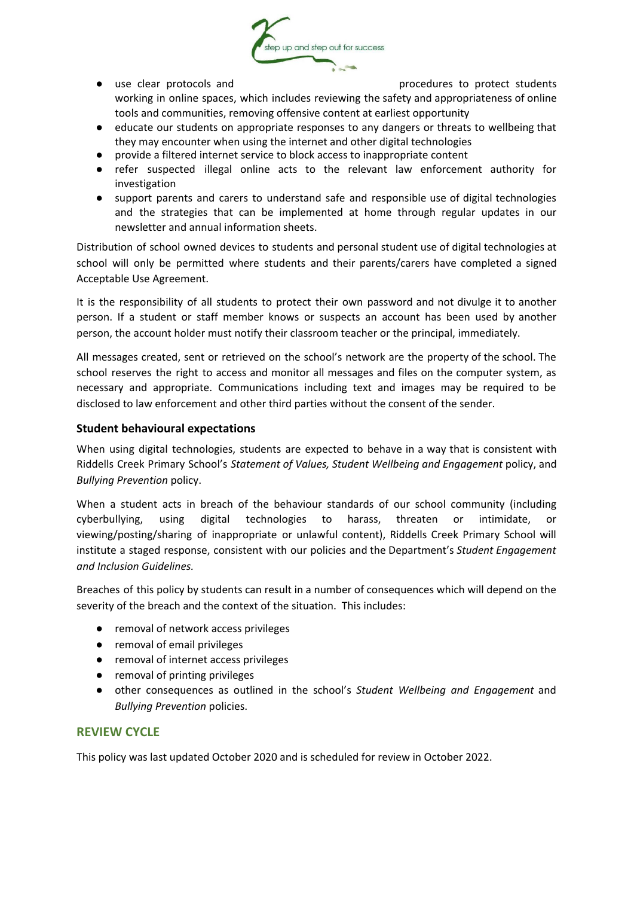

● use clear protocols and procedures to protect students

working in online spaces, which includes reviewing the safety and appropriateness of online tools and communities, removing offensive content at earliest opportunity

- educate our students on appropriate responses to any dangers or threats to wellbeing that they may encounter when using the internet and other digital technologies
- provide a filtered internet service to block access to inappropriate content
- refer suspected illegal online acts to the relevant law enforcement authority for investigation
- support parents and carers to understand safe and responsible use of digital technologies and the strategies that can be implemented at home through regular updates in our newsletter and annual information sheets.

Distribution of school owned devices to students and personal student use of digital technologies at school will only be permitted where students and their parents/carers have completed a signed Acceptable Use Agreement.

It is the responsibility of all students to protect their own password and not divulge it to another person. If a student or staff member knows or suspects an account has been used by another person, the account holder must notify their classroom teacher or the principal, immediately.

All messages created, sent or retrieved on the school's network are the property of the school. The school reserves the right to access and monitor all messages and files on the computer system, as necessary and appropriate. Communications including text and images may be required to be disclosed to law enforcement and other third parties without the consent of the sender.

#### **Student behavioural expectations**

When using digital technologies, students are expected to behave in a way that is consistent with Riddells Creek Primary School's *Statement of Values, Student Wellbeing and Engagement* policy, and *Bullying Prevention* policy.

When a student acts in breach of the behaviour standards of our school community (including cyberbullying, using digital technologies to harass, threaten or intimidate, or viewing/posting/sharing of inappropriate or unlawful content), Riddells Creek Primary School will institute a staged response, consistent with our policies and the Department's *Student Engagement and Inclusion Guidelines.*

Breaches of this policy by students can result in a number of consequences which will depend on the severity of the breach and the context of the situation. This includes:

- removal of network access privileges
- removal of email privileges
- removal of internet access privileges
- removal of printing privileges
- other consequences as outlined in the school's *Student Wellbeing and Engagement* and *Bullying Prevention* policies.

# **REVIEW CYCLE**

This policy was last updated October 2020 and is scheduled for review in October 2022.